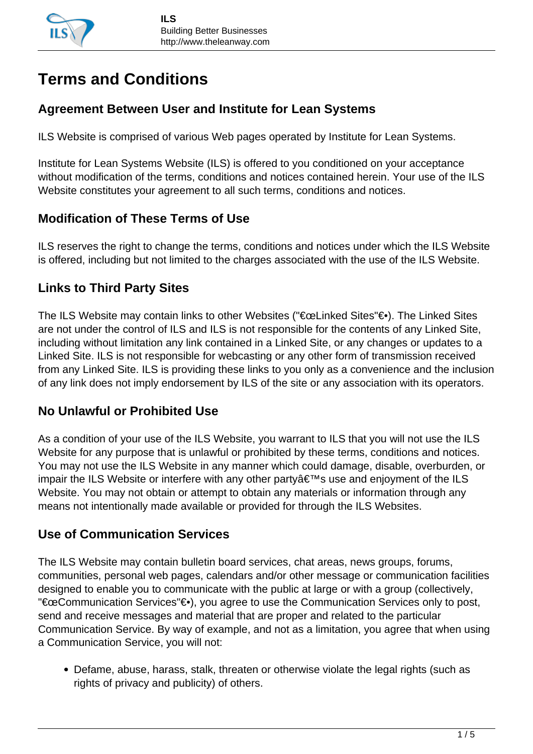# **Terms and Conditions**

## **Agreement Between User and Institute for Lean Systems**

ILS Website is comprised of various Web pages operated by Institute for Lean Systems.

Institute for Lean Systems Website (ILS) is offered to you conditioned on your acceptance without modification of the terms, conditions and notices contained herein. Your use of the ILS Website constitutes your agreement to all such terms, conditions and notices.

## **Modification of These Terms of Use**

ILS reserves the right to change the terms, conditions and notices under which the ILS Website is offered, including but not limited to the charges associated with the use of the ILS Website.

## **Links to Third Party Sites**

The ILS Website may contain links to other Websites ("€œLinked Sites"€•). The Linked Sites are not under the control of ILS and ILS is not responsible for the contents of any Linked Site, including without limitation any link contained in a Linked Site, or any changes or updates to a Linked Site. ILS is not responsible for webcasting or any other form of transmission received from any Linked Site. ILS is providing these links to you only as a convenience and the inclusion of any link does not imply endorsement by ILS of the site or any association with its operators.

## **No Unlawful or Prohibited Use**

As a condition of your use of the ILS Website, you warrant to ILS that you will not use the ILS Website for any purpose that is unlawful or prohibited by these terms, conditions and notices. You may not use the ILS Website in any manner which could damage, disable, overburden, or impair the ILS Website or interfere with any other party  $\hat{a} \in \mathbb{N}$ s use and enjoyment of the ILS Website. You may not obtain or attempt to obtain any materials or information through any means not intentionally made available or provided for through the ILS Websites.

## **Use of Communication Services**

The ILS Website may contain bulletin board services, chat areas, news groups, forums, communities, personal web pages, calendars and/or other message or communication facilities designed to enable you to communicate with the public at large or with a group (collectively, "€œCommunication Services"€•), you agree to use the Communication Services only to post, send and receive messages and material that are proper and related to the particular Communication Service. By way of example, and not as a limitation, you agree that when using a Communication Service, you will not:

Defame, abuse, harass, stalk, threaten or otherwise violate the legal rights (such as rights of privacy and publicity) of others.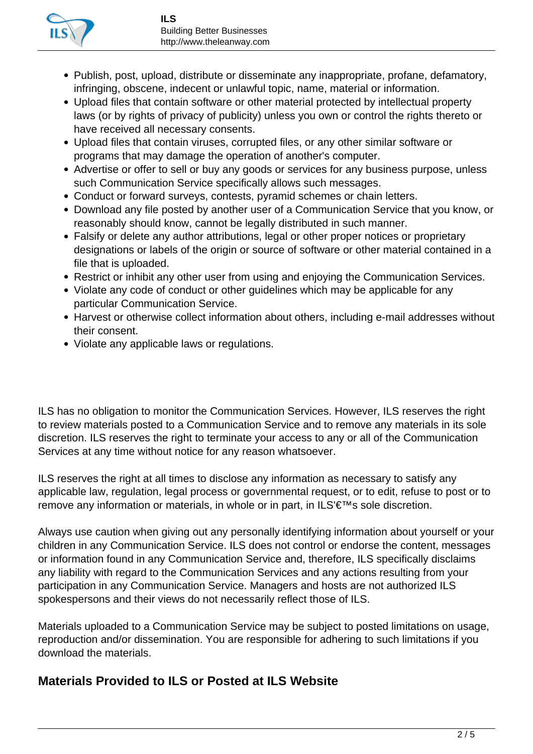

- Publish, post, upload, distribute or disseminate any inappropriate, profane, defamatory, infringing, obscene, indecent or unlawful topic, name, material or information.
- Upload files that contain software or other material protected by intellectual property laws (or by rights of privacy of publicity) unless you own or control the rights thereto or have received all necessary consents.
- Upload files that contain viruses, corrupted files, or any other similar software or programs that may damage the operation of another's computer.
- Advertise or offer to sell or buy any goods or services for any business purpose, unless such Communication Service specifically allows such messages.
- Conduct or forward surveys, contests, pyramid schemes or chain letters.
- Download any file posted by another user of a Communication Service that you know, or reasonably should know, cannot be legally distributed in such manner.
- Falsify or delete any author attributions, legal or other proper notices or proprietary designations or labels of the origin or source of software or other material contained in a file that is uploaded.
- Restrict or inhibit any other user from using and enjoying the Communication Services.
- Violate any code of conduct or other guidelines which may be applicable for any particular Communication Service.
- Harvest or otherwise collect information about others, including e-mail addresses without their consent.
- Violate any applicable laws or regulations.

ILS has no obligation to monitor the Communication Services. However, ILS reserves the right to review materials posted to a Communication Service and to remove any materials in its sole discretion. ILS reserves the right to terminate your access to any or all of the Communication Services at any time without notice for any reason whatsoever.

ILS reserves the right at all times to disclose any information as necessary to satisfy any applicable law, regulation, legal process or governmental request, or to edit, refuse to post or to remove any information or materials, in whole or in part, in ILS'€™s sole discretion.

Always use caution when giving out any personally identifying information about yourself or your children in any Communication Service. ILS does not control or endorse the content, messages or information found in any Communication Service and, therefore, ILS specifically disclaims any liability with regard to the Communication Services and any actions resulting from your participation in any Communication Service. Managers and hosts are not authorized ILS spokespersons and their views do not necessarily reflect those of ILS.

Materials uploaded to a Communication Service may be subject to posted limitations on usage, reproduction and/or dissemination. You are responsible for adhering to such limitations if you download the materials.

### **Materials Provided to ILS or Posted at ILS Website**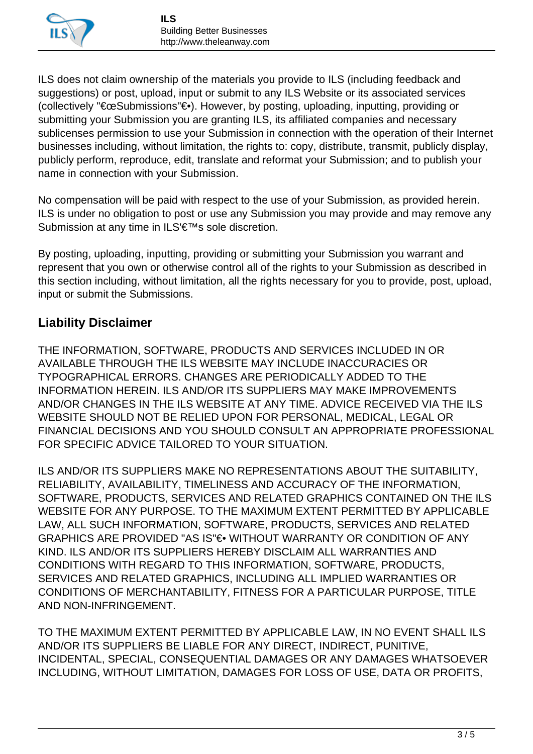

ILS does not claim ownership of the materials you provide to ILS (including feedback and suggestions) or post, upload, input or submit to any ILS Website or its associated services (collectively "€œSubmissions"€•). However, by posting, uploading, inputting, providing or submitting your Submission you are granting ILS, its affiliated companies and necessary sublicenses permission to use your Submission in connection with the operation of their Internet businesses including, without limitation, the rights to: copy, distribute, transmit, publicly display, publicly perform, reproduce, edit, translate and reformat your Submission; and to publish your name in connection with your Submission.

No compensation will be paid with respect to the use of your Submission, as provided herein. ILS is under no obligation to post or use any Submission you may provide and may remove any Submission at any time in ILS'€™s sole discretion.

By posting, uploading, inputting, providing or submitting your Submission you warrant and represent that you own or otherwise control all of the rights to your Submission as described in this section including, without limitation, all the rights necessary for you to provide, post, upload, input or submit the Submissions.

### **Liability Disclaimer**

THE INFORMATION, SOFTWARE, PRODUCTS AND SERVICES INCLUDED IN OR AVAILABLE THROUGH THE ILS WEBSITE MAY INCLUDE INACCURACIES OR TYPOGRAPHICAL ERRORS. CHANGES ARE PERIODICALLY ADDED TO THE INFORMATION HEREIN. ILS AND/OR ITS SUPPLIERS MAY MAKE IMPROVEMENTS AND/OR CHANGES IN THE ILS WEBSITE AT ANY TIME. ADVICE RECEIVED VIA THE ILS WEBSITE SHOULD NOT BE RELIED UPON FOR PERSONAL, MEDICAL, LEGAL OR FINANCIAL DECISIONS AND YOU SHOULD CONSULT AN APPROPRIATE PROFESSIONAL FOR SPECIFIC ADVICE TAILORED TO YOUR SITUATION.

ILS AND/OR ITS SUPPLIERS MAKE NO REPRESENTATIONS ABOUT THE SUITABILITY, RELIABILITY, AVAILABILITY, TIMELINESS AND ACCURACY OF THE INFORMATION, SOFTWARE, PRODUCTS, SERVICES AND RELATED GRAPHICS CONTAINED ON THE ILS WEBSITE FOR ANY PURPOSE. TO THE MAXIMUM EXTENT PERMITTED BY APPLICABLE LAW, ALL SUCH INFORMATION, SOFTWARE, PRODUCTS, SERVICES AND RELATED GRAPHICS ARE PROVIDED "AS IS"€. WITHOUT WARRANTY OR CONDITION OF ANY KIND. ILS AND/OR ITS SUPPLIERS HEREBY DISCLAIM ALL WARRANTIES AND CONDITIONS WITH REGARD TO THIS INFORMATION, SOFTWARE, PRODUCTS, SERVICES AND RELATED GRAPHICS, INCLUDING ALL IMPLIED WARRANTIES OR CONDITIONS OF MERCHANTABILITY, FITNESS FOR A PARTICULAR PURPOSE, TITLE AND NON-INFRINGEMENT.

TO THE MAXIMUM EXTENT PERMITTED BY APPLICABLE LAW, IN NO EVENT SHALL ILS AND/OR ITS SUPPLIERS BE LIABLE FOR ANY DIRECT, INDIRECT, PUNITIVE, INCIDENTAL, SPECIAL, CONSEQUENTIAL DAMAGES OR ANY DAMAGES WHATSOEVER INCLUDING, WITHOUT LIMITATION, DAMAGES FOR LOSS OF USE, DATA OR PROFITS,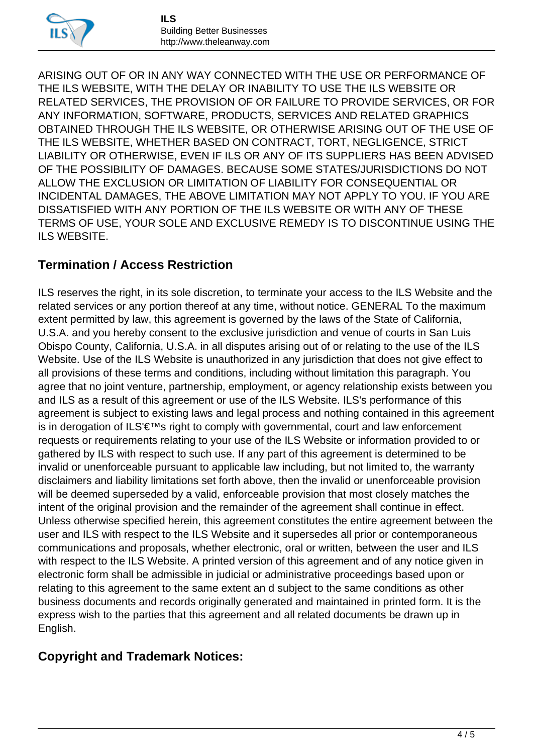

ARISING OUT OF OR IN ANY WAY CONNECTED WITH THE USE OR PERFORMANCE OF THE ILS WEBSITE, WITH THE DELAY OR INABILITY TO USE THE ILS WEBSITE OR RELATED SERVICES, THE PROVISION OF OR FAILURE TO PROVIDE SERVICES, OR FOR ANY INFORMATION, SOFTWARE, PRODUCTS, SERVICES AND RELATED GRAPHICS OBTAINED THROUGH THE ILS WEBSITE, OR OTHERWISE ARISING OUT OF THE USE OF THE ILS WEBSITE, WHETHER BASED ON CONTRACT, TORT, NEGLIGENCE, STRICT LIABILITY OR OTHERWISE, EVEN IF ILS OR ANY OF ITS SUPPLIERS HAS BEEN ADVISED OF THE POSSIBILITY OF DAMAGES. BECAUSE SOME STATES/JURISDICTIONS DO NOT ALLOW THE EXCLUSION OR LIMITATION OF LIABILITY FOR CONSEQUENTIAL OR INCIDENTAL DAMAGES, THE ABOVE LIMITATION MAY NOT APPLY TO YOU. IF YOU ARE DISSATISFIED WITH ANY PORTION OF THE ILS WEBSITE OR WITH ANY OF THESE TERMS OF USE, YOUR SOLE AND EXCLUSIVE REMEDY IS TO DISCONTINUE USING THE ILS WEBSITE.

## **Termination / Access Restriction**

ILS reserves the right, in its sole discretion, to terminate your access to the ILS Website and the related services or any portion thereof at any time, without notice. GENERAL To the maximum extent permitted by law, this agreement is governed by the laws of the State of California, U.S.A. and you hereby consent to the exclusive jurisdiction and venue of courts in San Luis Obispo County, California, U.S.A. in all disputes arising out of or relating to the use of the ILS Website. Use of the ILS Website is unauthorized in any jurisdiction that does not give effect to all provisions of these terms and conditions, including without limitation this paragraph. You agree that no joint venture, partnership, employment, or agency relationship exists between you and ILS as a result of this agreement or use of the ILS Website. ILS's performance of this agreement is subject to existing laws and legal process and nothing contained in this agreement is in derogation of ILS'€™s right to comply with governmental, court and law enforcement requests or requirements relating to your use of the ILS Website or information provided to or gathered by ILS with respect to such use. If any part of this agreement is determined to be invalid or unenforceable pursuant to applicable law including, but not limited to, the warranty disclaimers and liability limitations set forth above, then the invalid or unenforceable provision will be deemed superseded by a valid, enforceable provision that most closely matches the intent of the original provision and the remainder of the agreement shall continue in effect. Unless otherwise specified herein, this agreement constitutes the entire agreement between the user and ILS with respect to the ILS Website and it supersedes all prior or contemporaneous communications and proposals, whether electronic, oral or written, between the user and ILS with respect to the ILS Website. A printed version of this agreement and of any notice given in electronic form shall be admissible in judicial or administrative proceedings based upon or relating to this agreement to the same extent an d subject to the same conditions as other business documents and records originally generated and maintained in printed form. It is the express wish to the parties that this agreement and all related documents be drawn up in English.

## **Copyright and Trademark Notices:**